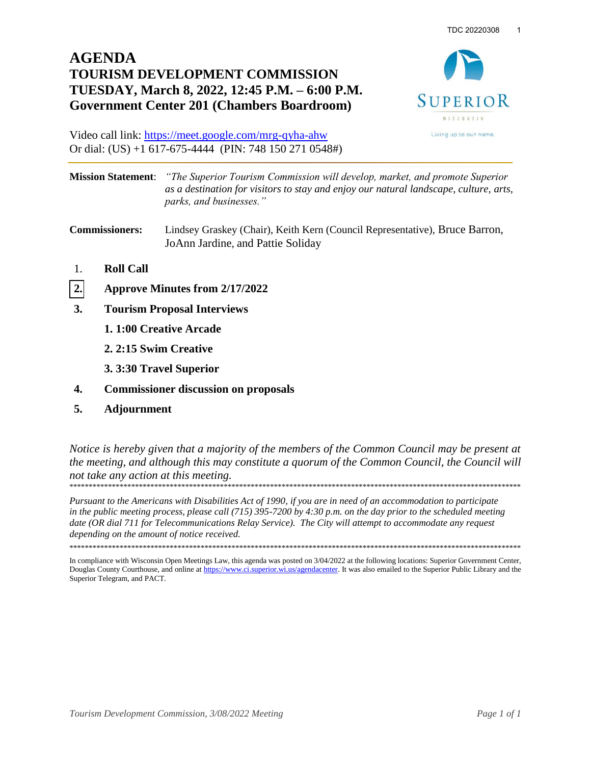## **AGENDA TOURISM DEVELOPMENT COMMISSION TUESDAY, March 8, 2022, 12:45 P.M. – 6:00 P.M. Government Center 201 (Chambers Boardroom)**



Video call link:<https://meet.google.com/mrg-qyha-ahw> Or dial: (US) +1 617-675-4444 (PIN: 748 150 271 0548#)

| <b>Mission Statement</b> : "The Superior Tourism Commission will develop, market, and promote Superior |
|--------------------------------------------------------------------------------------------------------|
| as a destination for visitors to stay and enjoy our natural landscape, culture, arts,                  |
| parks, and businesses."                                                                                |

**Commissioners:** Lindsey Graskey (Chair), Keith Kern (Council Representative), Bruce Barron, JoAnn Jardine, and Pattie Soliday

- 1. **Roll Call**
- **[2.](#page-1-0) Approve Minutes from 2/17/2022**
- **3. Tourism Proposal Interviews**
	- **1. 1:00 Creative Arcade**
	- **2. 2:15 Swim Creative**
	- **3. 3:30 Travel Superior**
- **4. Commissioner discussion on proposals**
- **5. Adjournment**

*Notice is hereby given that a majority of the members of the Common Council may be present at the meeting, and although this may constitute a quorum of the Common Council, the Council will not take any action at this meeting.*  \*\*\*\*\*\*\*\*\*\*\*\*\*\*\*\*\*\*\*\*\*\*\*\*\*\*\*\*\*\*\*\*\*\*\*\*\*\*\*\*\*\*\*\*\*\*\*\*\*\*\*\*\*\*\*\*\*\*\*\*\*\*\*\*\*\*\*\*\*\*\*\*\*\*\*\*\*\*\*\*\*\*\*\*\*\*\*\*\*\*\*\*\*\*\*\*\*\*\*\*\*\*\*\*\*\*\*\*\*\*\*\*\*\*\*\*\*

*Pursuant to the Americans with Disabilities Act of 1990, if you are in need of an accommodation to participate in the public meeting process, please call (715) 395-7200 by 4:30 p.m. on the day prior to the scheduled meeting date (OR dial 711 for Telecommunications Relay Service). The City will attempt to accommodate any request depending on the amount of notice received.* 

\*\*\*\*\*\*\*\*\*\*\*\*\*\*\*\*\*\*\*\*\*\*\*\*\*\*\*\*\*\*\*\*\*\*\*\*\*\*\*\*\*\*\*\*\*\*\*\*\*\*\*\*\*\*\*\*\*\*\*\*\*\*\*\*\*\*\*\*\*\*\*\*\*\*\*\*\*\*\*\*\*\*\*\*\*\*\*\*\*\*\*\*\*\*\*\*\*\*\*\*\*\*\*\*\*\*\*\*\*\*\*\*\*\*\*\*\*

In compliance with Wisconsin Open Meetings Law, this agenda was posted on 3/04/2022 at the following locations: Superior Government Center, Douglas County Courthouse, and online a[t https://www.ci.superior.wi.us/agendacenter.](https://www.ci.superior.wi.us/agendacenter) It was also emailed to the Superior Public Library and the Superior Telegram, and PACT.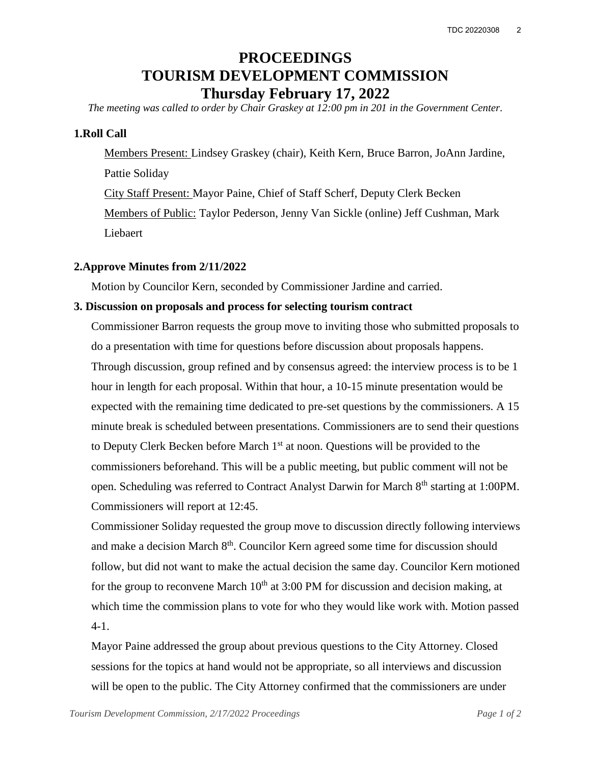# **PROCEEDINGS TOURISM DEVELOPMENT COMMISSION Thursday February 17, 2022**

<span id="page-1-0"></span>*The meeting was called to order by Chair Graskey at 12:00 pm in 201 in the Government Center.*

#### **1.Roll Call**

Members Present: Lindsey Graskey (chair), Keith Kern, Bruce Barron, JoAnn Jardine, Pattie Soliday City Staff Present: Mayor Paine, Chief of Staff Scherf, Deputy Clerk Becken Members of Public: Taylor Pederson, Jenny Van Sickle (online) Jeff Cushman, Mark Liebaert

#### **2.Approve Minutes from 2/11/2022**

Motion by Councilor Kern, seconded by Commissioner Jardine and carried.

#### **3. Discussion on proposals and process for selecting tourism contract**

Commissioner Barron requests the group move to inviting those who submitted proposals to do a presentation with time for questions before discussion about proposals happens. Through discussion, group refined and by consensus agreed: the interview process is to be 1 hour in length for each proposal. Within that hour, a 10-15 minute presentation would be expected with the remaining time dedicated to pre-set questions by the commissioners. A 15 minute break is scheduled between presentations. Commissioners are to send their questions to Deputy Clerk Becken before March 1<sup>st</sup> at noon. Questions will be provided to the commissioners beforehand. This will be a public meeting, but public comment will not be open. Scheduling was referred to Contract Analyst Darwin for March 8<sup>th</sup> starting at 1:00PM. Commissioners will report at 12:45.

Commissioner Soliday requested the group move to discussion directly following interviews and make a decision March 8<sup>th</sup>. Councilor Kern agreed some time for discussion should follow, but did not want to make the actual decision the same day. Councilor Kern motioned for the group to reconvene March  $10<sup>th</sup>$  at 3:00 PM for discussion and decision making, at which time the commission plans to vote for who they would like work with. Motion passed 4-1.

Mayor Paine addressed the group about previous questions to the City Attorney. Closed sessions for the topics at hand would not be appropriate, so all interviews and discussion will be open to the public. The City Attorney confirmed that the commissioners are under